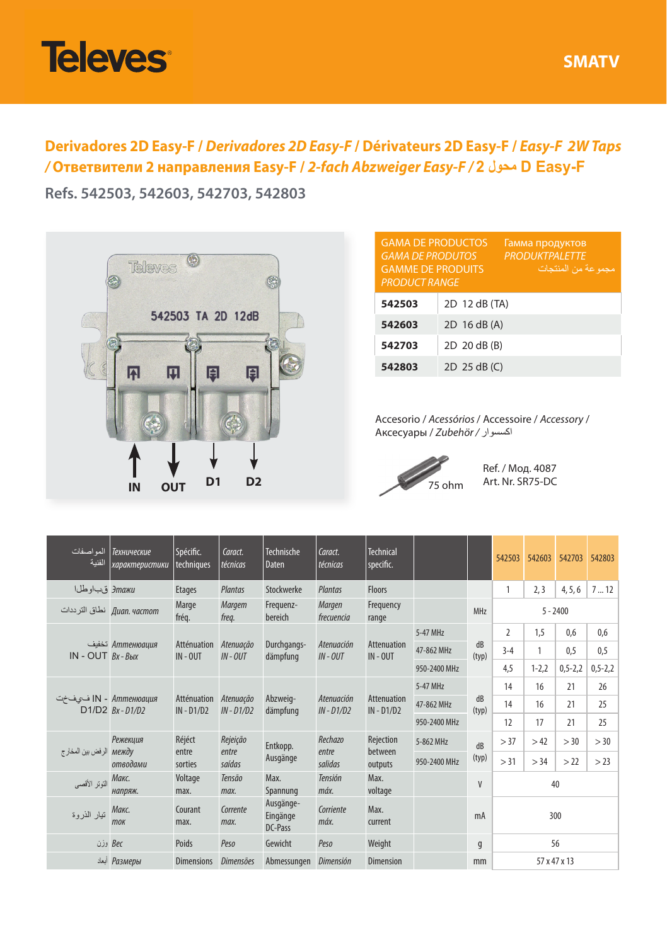

**Derivadores 2D Easy-F /** *Derivadores 2D Easy-F* **/ Dérivateurs 2D Easy-F /** *Easy-F 2W Taps /* **Ответвители 2 направления Easy-F /** *2-fach Abzweiger Easy-F /* **2 محول D Easy-F**

**Refs. 542503, 542603, 542703, 542803**



| <b>GAMA DE PRODUCTOS</b><br>Гамма продуктов<br><b>PRODUKTPALETTE</b><br><b>GAMA DE PRODUTOS</b><br>مجمو عة من المنتجات<br><b>GAMME DE PRODUITS</b><br><b>PRODUCT RANGE</b> |               |  |  |  |  |  |  |
|----------------------------------------------------------------------------------------------------------------------------------------------------------------------------|---------------|--|--|--|--|--|--|
| 542503                                                                                                                                                                     | 2D 12 dB (TA) |  |  |  |  |  |  |
| 542603                                                                                                                                                                     | 2D 16 dB (A)  |  |  |  |  |  |  |
| 542703                                                                                                                                                                     | 2D 20 dB (B)  |  |  |  |  |  |  |
| 542803                                                                                                                                                                     | 2D 25 dB (C)  |  |  |  |  |  |  |

Accesorio / *Acessórios* / Accessoire / *Accessory* / Аксесуары / *Zubehör /* اكسسوار



Ref. / Мод. 4087 Art. Nr. SR75-DC

| المو اصفات<br>الفنية     | Технические<br>характеристики        | Spécific.<br>techniques     | Caract.<br>técnicas     | Technische<br>Daten                  | Caract.<br>técnicas        | <b>Technical</b><br>specific. |              |             | 542503         | 542603    | 542703        | 542803        |  |
|--------------------------|--------------------------------------|-----------------------------|-------------------------|--------------------------------------|----------------------------|-------------------------------|--------------|-------------|----------------|-----------|---------------|---------------|--|
| Этажи قباوطلا            |                                      | <b>Etages</b>               | Plantas                 | Stockwerke                           | Plantas                    | <b>Floors</b>                 |              |             | 1              | 2, 3      | 4, 5, 6       | 712           |  |
|                          | Диап. частот نطاق الترددات           | Marge<br>fréq.              | Margem<br>freq.         | Frequenz-<br>bereich                 | Margen<br>frecuencia       | Frequency<br>range            |              | MHz         | $5 - 2400$     |           |               |               |  |
| $IN - OUT$ $Bx - B$ blx  | Аттенюация تخفيف                     | Atténuation<br>$IN - OUT$   | Atenuação<br>$IN - OUT$ | Durchgangs-<br>dämpfung              | Atenuación<br>$IN - OUT$   | Attenuation<br>$IN - OUT$     | 5-47 MHz     | dB<br>(typ) | $\overline{2}$ | 1,5       | 0.6           | 0.6           |  |
|                          |                                      |                             |                         |                                      |                            |                               | 47-862 MHz   |             | $3 - 4$        | 1         | 0.5           | 0.5           |  |
|                          |                                      |                             |                         |                                      |                            |                               | 950-2400 MHz |             | 4,5            | $1 - 2,2$ | $0, 5 - 2, 2$ | $0, 5 - 2, 2$ |  |
| N - Аттенюация) ا فى ف÷ت | D1/D2 Bx-D1/D2                       | Atténuation<br>$IN - D1/D2$ |                         | Abzweig-<br>$IN - D1/D2$<br>dämpfung | Atenuación<br>$IN - D1/D2$ | Attenuation<br>$IN - D1/D2$   | 5-47 MHz     | dB<br>(typ) | 14             | 16        | 21            | 26            |  |
|                          |                                      |                             | Atenuação               |                                      |                            |                               | 47-862 MHz   |             | 14             | 16        | 21            | 25            |  |
|                          |                                      |                             |                         |                                      |                            |                               | 950-2400 MHz |             | 12             | 17        | 21            | 25            |  |
| الرفض بين المخارج        | Réjéct<br>Режекция<br>между<br>entre | Rejeição<br>entre           | Entkopp.                | Rechazo<br>entre                     | Rejection<br>between       | 5-862 MHz                     | dB           | > 37        | >42            | >30       | >30           |               |  |
|                          | отводами                             | sorties                     | saídas                  | Ausgänge                             | salidas                    | outputs                       | 950-2400 MHz | (typ)       | > 31           | > 34      | > 22          | > 23          |  |
| التوتر الأقصى            | Макс.<br>напряж.                     | Voltage<br>max.             | Tensão<br>max.          | Max.<br>Spannung                     | Tensión<br>máx.            | Max.<br>voltage               |              | V           | 40             |           |               |               |  |
| تيار الذروة              | Макс.<br>ток                         | Courant<br>max.             | Corrente<br>max.        | Ausgänge-<br>Eingänge<br>DC-Pass     | Corriente<br>máx.          | Max.<br>current               |              | mA          | 300            |           |               |               |  |
| وزن                      | Bec                                  | Poids                       | Peso                    | Gewicht                              | Peso                       | Weight                        |              | q           | 56             |           |               |               |  |
|                          | Размеры                              | <b>Dimensions</b>           | Dimensões               | Abmessungen                          | Dimensión                  | Dimension                     |              | mm          | 57 x 47 x 13   |           |               |               |  |